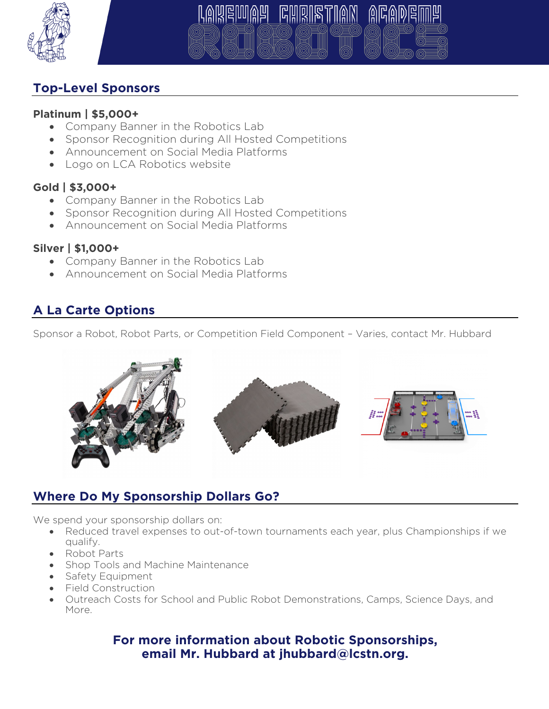

# **GHRIBT**

## **Top-Level Sponsors**

#### **Platinum | \$5,000+**

- Company Banner in the Robotics Lab
- Sponsor Recognition during All Hosted Competitions
- Announcement on Social Media Platforms
- Logo on LCA Robotics website

## **Gold | \$3,000+**

- Company Banner in the Robotics Lab
- Sponsor Recognition during All Hosted Competitions
- Announcement on Social Media Platforms

## **Silver | \$1,000+**

- Company Banner in the Robotics Lab
- Announcement on Social Media Platforms

## **A La Carte Options**

Sponsor a Robot, Robot Parts, or Competition Field Component – Varies, contact Mr. Hubbard



## **Where Do My Sponsorship Dollars Go?**

We spend your sponsorship dollars on:

- Reduced travel expenses to out-of-town tournaments each year, plus Championships if we qualify.
- Robot Parts
- Shop Tools and Machine Maintenance
- Safety Equipment
- Field Construction
- Outreach Costs for School and Public Robot Demonstrations, Camps, Science Days, and More.

#### **For more information about Robotic Sponsorships, email Mr. Hubbard at jhubbard@lcstn.org.**